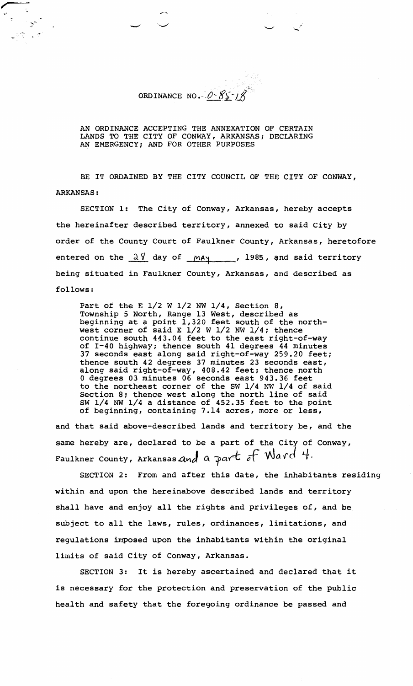ORDINANCE NO.  $0 - 85 - 18$ 

أأتني

-2000

AN ORDINANCE ACCEPTING THE ANNEXATION OF CERTAIN LANDS TO THE CITY OF CONWAY, ARKANSAS; DECLARING AN EMERGENCY; AND FOR OTHER PURPOSES

BE IT ORDAINED BY THE CITY COUNCIL OF THE CITY OF CONWAY, ARKANSAS :

SECTION 1: The City of Conway, Arkansas, hereby accepts the hereinafter described territory, annexed to said City by order of the County Court of Faulkner County, Arkansas, heretofore entered on the  $\frac{\partial \theta}{\partial x}$  day of  $\frac{may}{ay}$ , 1985, and said territory being situated in Faulkner County, Arkansas, and described as follows :

Part of the E 1/2 W 1/2 NW 1/4, Section 8, Township 5 North, Range 13 West, described as beginning at a point 1,320 feet south of the northwest corner of said E 1/2 W 1/2 NW 1/4; thence continue south 443.04 feet to the east right-of-way of 1-40 highway; thence south 41 degrees 44 minutes 37 seconds east along said right-of-way 259.20 feet; thence south 42 degrees 37 minutes 23 seconds east, along said right-of-way, 408.42 feet; thence north 0 degrees 03 minutes 06 seconds east 943.36 feet to the northeast corner of the SW 1/4 NW 1/4 of said Section 8; thence west along the north line of said SW 1/4 **NW** 1/4 a distance of 452.35 feet to the point of beginning, containing 7.14 acres, more or less,

and that said above-described lands and territory be, and the same hereby are, declared to be a part of the City of Conway, Faulkner County, Arkansas and a part of  $\mathcal{N}$ ard 4.

SECTION 2: From and after this date, the inhabitants residing within and upon the hereinabove described lands and territory shall have and enjoy all the rights and privileges of, and be subject to all the laws, rules, ordinances, limitations, and regulations imposed upon the inhabitants within the original limits of said City of Conway, Arkansas.

SECTION 3: It is hereby ascertained and declared that it is necessary for the protection and preservation of the public health and safety that the foregoing ordinance be passed and